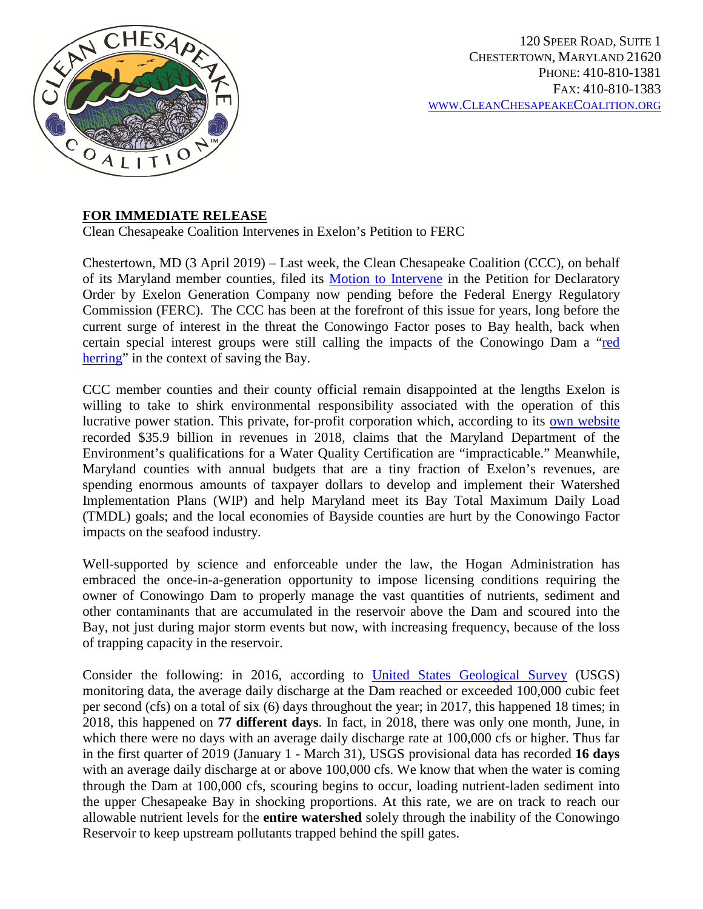

## **FOR IMMEDIATE RELEASE**

Clean Chesapeake Coalition Intervenes in Exelon's Petition to FERC

Chestertown, MD (3 April 2019) – Last week, the Clean Chesapeake Coalition (CCC), on behalf of its Maryland member counties, filed its [Motion to Intervene](https://cleanchesapeakecoalition.org/images/Motion_to_Intervene_Clean_Chesapeake_Coalition.pdf) in the Petition for Declaratory Order by Exelon Generation Company now pending before the Federal Energy Regulatory Commission (FERC). The CCC has been at the forefront of this issue for years, long before the current surge of interest in the threat the Conowingo Factor poses to Bay health, back when certain special interest groups were still calling the impacts of the Conowingo Dam a ["red](http://www.cbf.org/news-media/newsroom/2012/md/cbf-conowingo-is-a-red-herring-local-pollution-comes-from-local-sources.html)  [herring"](http://www.cbf.org/news-media/newsroom/2012/md/cbf-conowingo-is-a-red-herring-local-pollution-comes-from-local-sources.html) in the context of saving the Bay.

CCC member counties and their county official remain disappointed at the lengths Exelon is willing to take to shirk environmental responsibility associated with the operation of this lucrative power station. This private, for-profit corporation which, according to its [own website](http://www.exeloncorp.com/company/about-exelon) recorded \$35.9 billion in revenues in 2018, claims that the Maryland Department of the Environment's qualifications for a Water Quality Certification are "impracticable." Meanwhile, Maryland counties with annual budgets that are a tiny fraction of Exelon's revenues, are spending enormous amounts of taxpayer dollars to develop and implement their Watershed Implementation Plans (WIP) and help Maryland meet its Bay Total Maximum Daily Load (TMDL) goals; and the local economies of Bayside counties are hurt by the Conowingo Factor impacts on the seafood industry.

Well-supported by science and enforceable under the law, the Hogan Administration has embraced the once-in-a-generation opportunity to impose licensing conditions requiring the owner of Conowingo Dam to properly manage the vast quantities of nutrients, sediment and other contaminants that are accumulated in the reservoir above the Dam and scoured into the Bay, not just during major storm events but now, with increasing frequency, because of the loss of trapping capacity in the reservoir.

Consider the following: in 2016, according to [United States Geological Survey](https://waterdata.usgs.gov/usa/nwis/uv?01578310) (USGS) monitoring data, the average daily discharge at the Dam reached or exceeded 100,000 cubic feet per second (cfs) on a total of six (6) days throughout the year; in 2017, this happened 18 times; in 2018, this happened on **77 different days**. In fact, in 2018, there was only one month, June, in which there were no days with an average daily discharge rate at 100,000 cfs or higher. Thus far in the first quarter of 2019 (January 1 - March 31), USGS provisional data has recorded **16 days**  with an average daily discharge at or above 100,000 cfs. We know that when the water is coming through the Dam at 100,000 cfs, scouring begins to occur, loading nutrient-laden sediment into the upper Chesapeake Bay in shocking proportions. At this rate, we are on track to reach our allowable nutrient levels for the **entire watershed** solely through the inability of the Conowingo Reservoir to keep upstream pollutants trapped behind the spill gates.